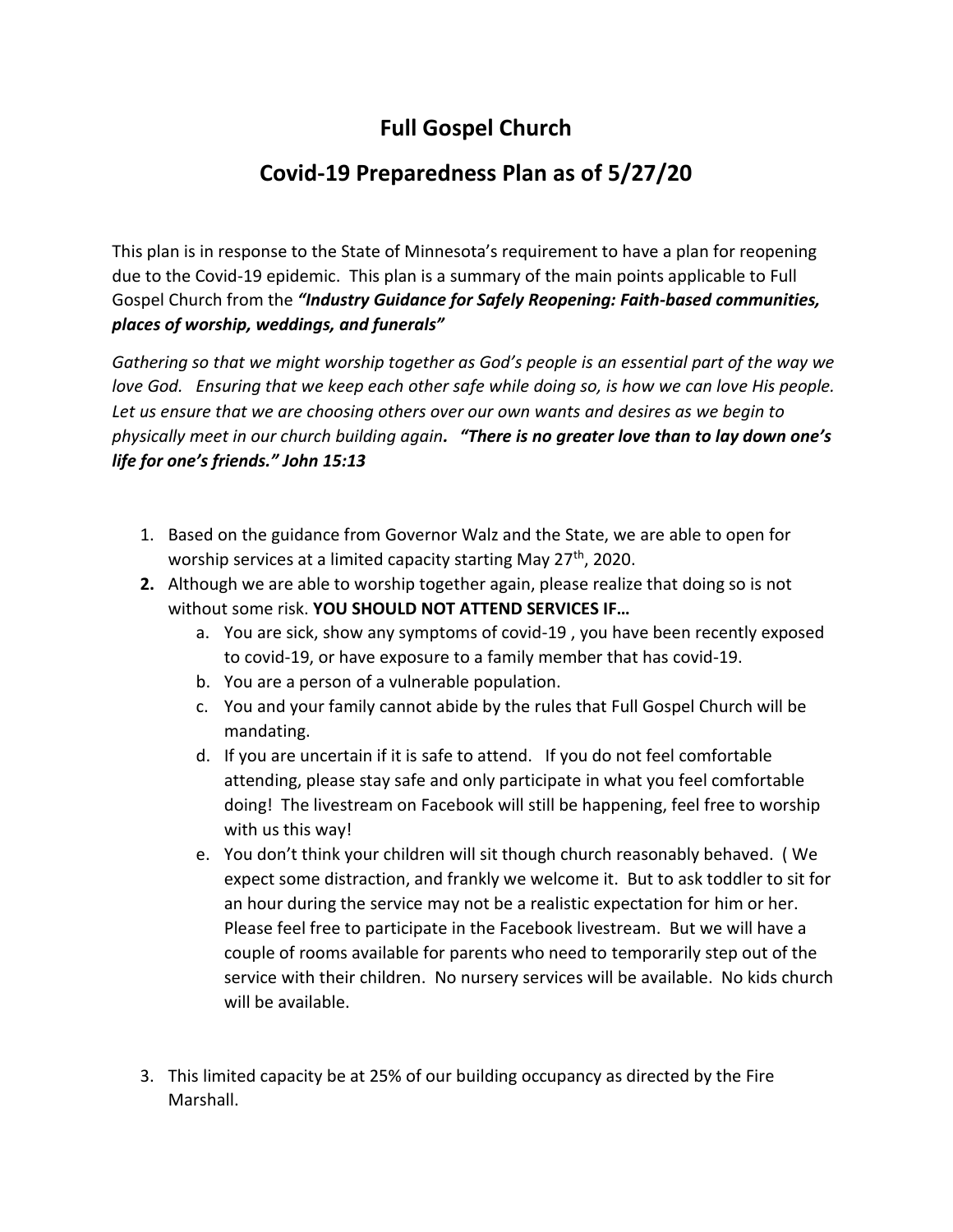## **Full Gospel Church**

## **Covid-19 Preparedness Plan as of 5/27/20**

This plan is in response to the State of Minnesota's requirement to have a plan for reopening due to the Covid-19 epidemic. This plan is a summary of the main points applicable to Full Gospel Church from the *"Industry Guidance for Safely Reopening: Faith-based communities, places of worship, weddings, and funerals"*

*Gathering so that we might worship together as God's people is an essential part of the way we love God. Ensuring that we keep each other safe while doing so, is how we can love His people. Let us ensure that we are choosing others over our own wants and desires as we begin to physically meet in our church building again. "There is no greater love than to lay down one's life for one's friends." John 15:13*

- 1. Based on the guidance from Governor Walz and the State, we are able to open for worship services at a limited capacity starting May  $27<sup>th</sup>$ , 2020.
- **2.** Although we are able to worship together again, please realize that doing so is not without some risk. **YOU SHOULD NOT ATTEND SERVICES IF…**
	- a. You are sick, show any symptoms of covid-19 , you have been recently exposed to covid-19, or have exposure to a family member that has covid-19.
	- b. You are a person of a vulnerable population.
	- c. You and your family cannot abide by the rules that Full Gospel Church will be mandating.
	- d. If you are uncertain if it is safe to attend. If you do not feel comfortable attending, please stay safe and only participate in what you feel comfortable doing! The livestream on Facebook will still be happening, feel free to worship with us this way!
	- e. You don't think your children will sit though church reasonably behaved. ( We expect some distraction, and frankly we welcome it. But to ask toddler to sit for an hour during the service may not be a realistic expectation for him or her. Please feel free to participate in the Facebook livestream. But we will have a couple of rooms available for parents who need to temporarily step out of the service with their children. No nursery services will be available. No kids church will be available.
- 3. This limited capacity be at 25% of our building occupancy as directed by the Fire Marshall.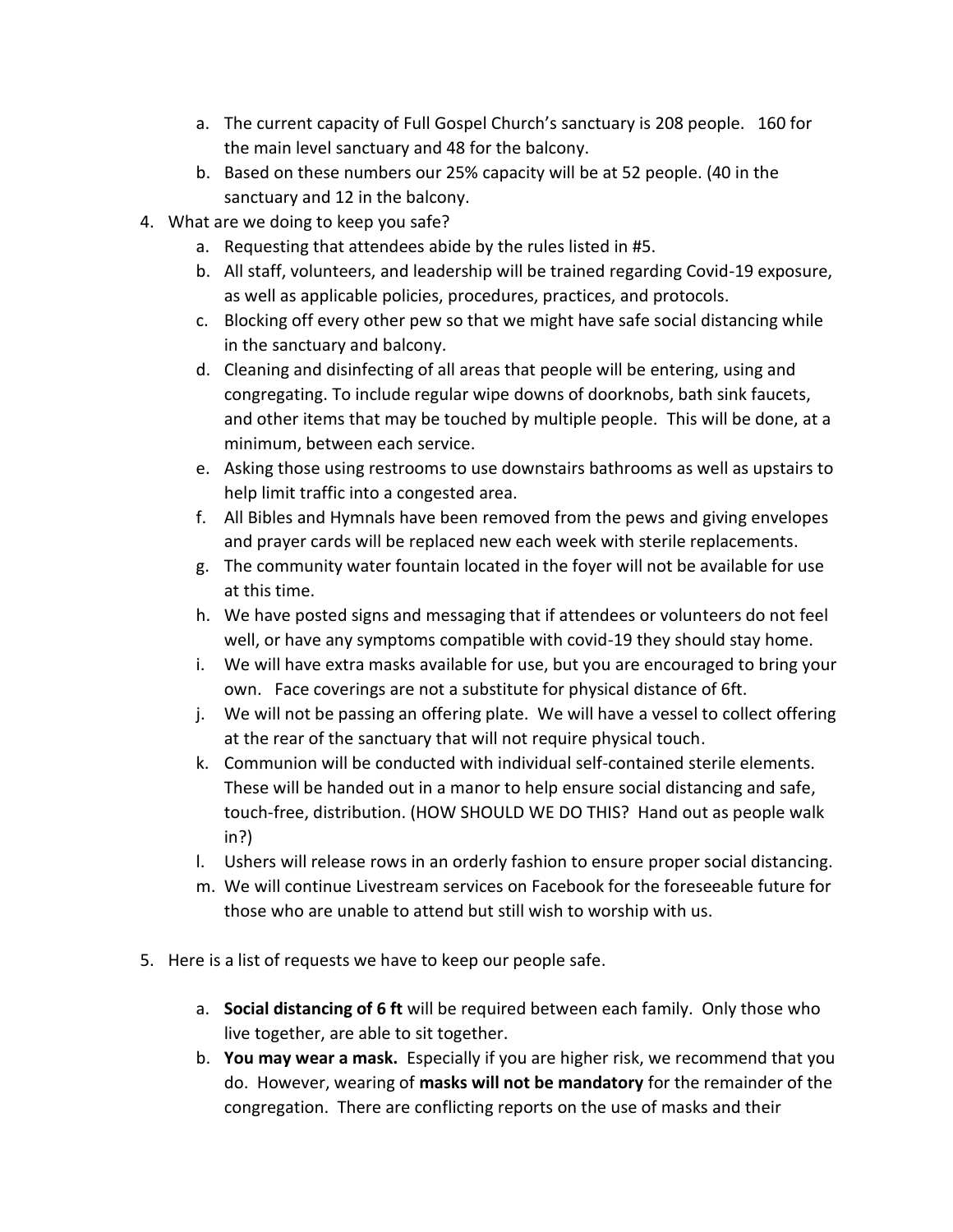- a. The current capacity of Full Gospel Church's sanctuary is 208 people. 160 for the main level sanctuary and 48 for the balcony.
- b. Based on these numbers our 25% capacity will be at 52 people. (40 in the sanctuary and 12 in the balcony.
- 4. What are we doing to keep you safe?
	- a. Requesting that attendees abide by the rules listed in #5.
	- b. All staff, volunteers, and leadership will be trained regarding Covid-19 exposure, as well as applicable policies, procedures, practices, and protocols.
	- c. Blocking off every other pew so that we might have safe social distancing while in the sanctuary and balcony.
	- d. Cleaning and disinfecting of all areas that people will be entering, using and congregating. To include regular wipe downs of doorknobs, bath sink faucets, and other items that may be touched by multiple people. This will be done, at a minimum, between each service.
	- e. Asking those using restrooms to use downstairs bathrooms as well as upstairs to help limit traffic into a congested area.
	- f. All Bibles and Hymnals have been removed from the pews and giving envelopes and prayer cards will be replaced new each week with sterile replacements.
	- g. The community water fountain located in the foyer will not be available for use at this time.
	- h. We have posted signs and messaging that if attendees or volunteers do not feel well, or have any symptoms compatible with covid-19 they should stay home.
	- i. We will have extra masks available for use, but you are encouraged to bring your own. Face coverings are not a substitute for physical distance of 6ft.
	- j. We will not be passing an offering plate. We will have a vessel to collect offering at the rear of the sanctuary that will not require physical touch.
	- k. Communion will be conducted with individual self-contained sterile elements. These will be handed out in a manor to help ensure social distancing and safe, touch-free, distribution. (HOW SHOULD WE DO THIS? Hand out as people walk in?)
	- l. Ushers will release rows in an orderly fashion to ensure proper social distancing.
	- m. We will continue Livestream services on Facebook for the foreseeable future for those who are unable to attend but still wish to worship with us.
- 5. Here is a list of requests we have to keep our people safe.
	- a. **Social distancing of 6 ft** will be required between each family. Only those who live together, are able to sit together.
	- b. **You may wear a mask.** Especially if you are higher risk, we recommend that you do. However, wearing of **masks will not be mandatory** for the remainder of the congregation. There are conflicting reports on the use of masks and their